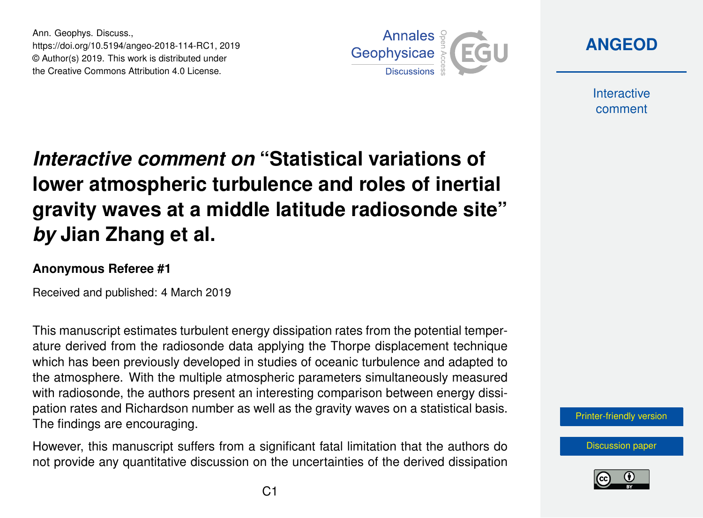Ann. Geophys. Discuss., https://doi.org/10.5194/angeo-2018-114-RC1, 2019 © Author(s) 2019. This work is distributed under the Creative Commons Attribution 4.0 License.



**[ANGEOD](https://www.ann-geophys-discuss.net/)**

**Interactive** comment

## *Interactive comment on* **"Statistical variations of lower atmospheric turbulence and roles of inertial gravity waves at a middle latitude radiosonde site"** *by* **Jian Zhang et al.**

## **Anonymous Referee #1**

Received and published: 4 March 2019

This manuscript estimates turbulent energy dissipation rates from the potential temperature derived from the radiosonde data applying the Thorpe displacement technique which has been previously developed in studies of oceanic turbulence and adapted to the atmosphere. With the multiple atmospheric parameters simultaneously measured with radiosonde, the authors present an interesting comparison between energy dissipation rates and Richardson number as well as the gravity waves on a statistical basis. The findings are encouraging.

However, this manuscript suffers from a significant fatal limitation that the authors do not provide any quantitative discussion on the uncertainties of the derived dissipation



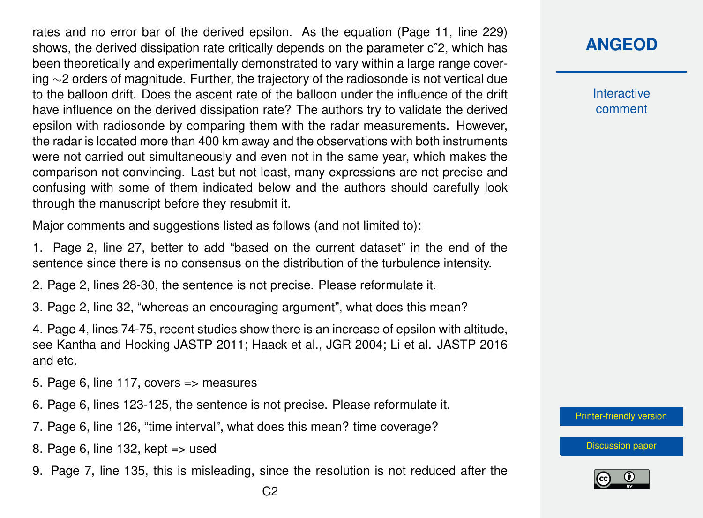rates and no error bar of the derived epsilon. As the equation (Page 11, line 229) shows, the derived dissipation rate critically depends on the parameter cˆ2, which has been theoretically and experimentally demonstrated to vary within a large range covering ∼2 orders of magnitude. Further, the trajectory of the radiosonde is not vertical due to the balloon drift. Does the ascent rate of the balloon under the influence of the drift have influence on the derived dissipation rate? The authors try to validate the derived epsilon with radiosonde by comparing them with the radar measurements. However, the radar is located more than 400 km away and the observations with both instruments were not carried out simultaneously and even not in the same year, which makes the comparison not convincing. Last but not least, many expressions are not precise and confusing with some of them indicated below and the authors should carefully look through the manuscript before they resubmit it.

Major comments and suggestions listed as follows (and not limited to):

1. Page 2, line 27, better to add "based on the current dataset" in the end of the sentence since there is no consensus on the distribution of the turbulence intensity.

2. Page 2, lines 28-30, the sentence is not precise. Please reformulate it.

3. Page 2, line 32, "whereas an encouraging argument", what does this mean?

4. Page 4, lines 74-75, recent studies show there is an increase of epsilon with altitude, see Kantha and Hocking JASTP 2011; Haack et al., JGR 2004; Li et al. JASTP 2016 and etc.

5. Page 6, line 117, covers => measures

- 6. Page 6, lines 123-125, the sentence is not precise. Please reformulate it.
- 7. Page 6, line 126, "time interval", what does this mean? time coverage?
- 8. Page 6, line 132, kept => used
- 9. Page 7, line 135, this is misleading, since the resolution is not reduced after the

**Interactive** comment

[Printer-friendly version](https://www.ann-geophys-discuss.net/angeo-2018-114/angeo-2018-114-RC1-print.pdf)

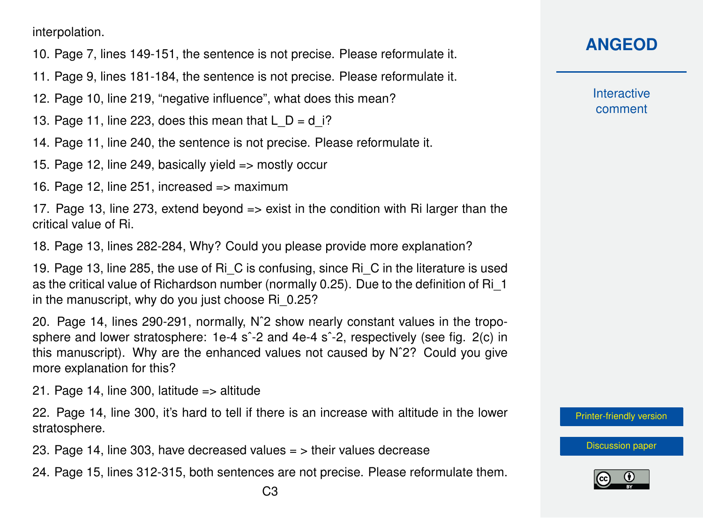interpolation.

- 10. Page 7, lines 149-151, the sentence is not precise. Please reformulate it.
- 11. Page 9, lines 181-184, the sentence is not precise. Please reformulate it.
- 12. Page 10, line 219, "negative influence", what does this mean?
- 13. Page 11, line 223, does this mean that  $L$   $D = d$  i?
- 14. Page 11, line 240, the sentence is not precise. Please reformulate it.
- 15. Page 12, line 249, basically yield => mostly occur
- 16. Page 12, line 251, increased => maximum

17. Page 13, line 273, extend beyond  $\Rightarrow$  exist in the condition with Ri larger than the critical value of Ri.

18. Page 13, lines 282-284, Why? Could you please provide more explanation?

19. Page 13, line 285, the use of Ri\_C is confusing, since Ri\_C in the literature is used as the critical value of Richardson number (normally 0.25). Due to the definition of Ri\_1 in the manuscript, why do you just choose Ri\_0.25?

20. Page 14, lines 290-291, normally, Nˆ2 show nearly constant values in the troposphere and lower stratosphere: 1e-4 s<sup>2</sup>-2 and 4e-4 s<sup>2</sup>-2, respectively (see fig. 2(c) in this manuscript). Why are the enhanced values not caused by Nˆ2? Could you give more explanation for this?

21. Page 14, line 300, latitude  $\approx$  altitude

22. Page 14, line 300, it's hard to tell if there is an increase with altitude in the lower stratosphere.

23. Page 14, line 303, have decreased values  $=$  > their values decrease

24. Page 15, lines 312-315, both sentences are not precise. Please reformulate them.

**Interactive** comment

[Printer-friendly version](https://www.ann-geophys-discuss.net/angeo-2018-114/angeo-2018-114-RC1-print.pdf)